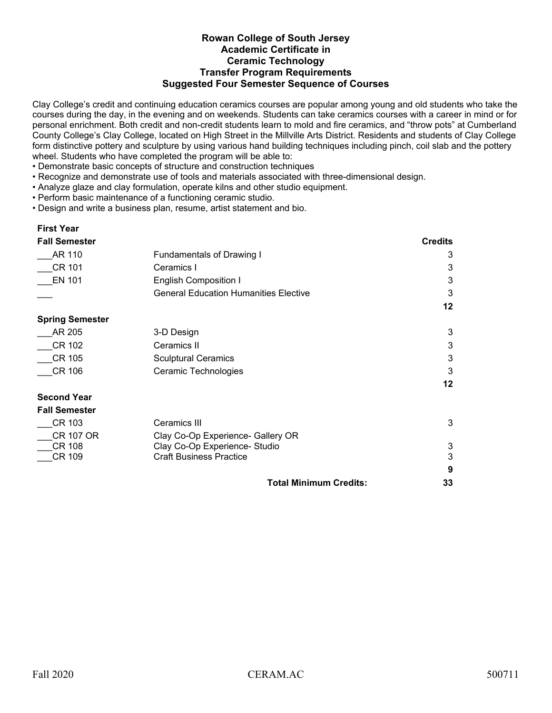## **Rowan College of South Jersey Academic Certificate in Ceramic Technology Transfer Program Requirements Suggested Four Semester Sequence of Courses**

Clay College's credit and continuing education ceramics courses are popular among young and old students who take the courses during the day, in the evening and on weekends. Students can take ceramics courses with a career in mind or for personal enrichment. Both credit and non-credit students learn to mold and fire ceramics, and "throw pots" at Cumberland County College's Clay College, located on High Street in the Millville Arts District. Residents and students of Clay College form distinctive pottery and sculpture by using various hand building techniques including pinch, coil slab and the pottery wheel. Students who have completed the program will be able to:

- Demonstrate basic concepts of structure and construction techniques
- Recognize and demonstrate use of tools and materials associated with three-dimensional design.
- Analyze glaze and clay formulation, operate kilns and other studio equipment.
- Perform basic maintenance of a functioning ceramic studio.
- Design and write a business plan, resume, artist statement and bio.

## **First Year**

| <b>Fall Semester</b>   |                                              | <b>Credits</b> |
|------------------------|----------------------------------------------|----------------|
| AR 110                 | <b>Fundamentals of Drawing I</b>             | 3              |
| CR 101                 | Ceramics I                                   | 3              |
| <b>EN 101</b>          | <b>English Composition I</b>                 | 3              |
|                        | <b>General Education Humanities Elective</b> | 3              |
|                        |                                              | 12             |
| <b>Spring Semester</b> |                                              |                |
| AR 205                 | 3-D Design                                   | 3              |
| <b>CR 102</b>          | Ceramics II                                  | 3              |
| <b>CR 105</b>          | <b>Sculptural Ceramics</b>                   | 3              |
| <b>CR 106</b>          | Ceramic Technologies                         | 3              |
|                        |                                              | 12             |
| <b>Second Year</b>     |                                              |                |
| <b>Fall Semester</b>   |                                              |                |
| CR 103                 | Ceramics III                                 | 3              |
| <b>CR 107 OR</b>       | Clay Co-Op Experience- Gallery OR            |                |
| CR 108                 | Clay Co-Op Experience- Studio                | 3              |
| CR 109                 | <b>Craft Business Practice</b>               | $\mathbf{3}$   |
|                        |                                              | 9              |
|                        | <b>Total Minimum Credits:</b>                | 33             |